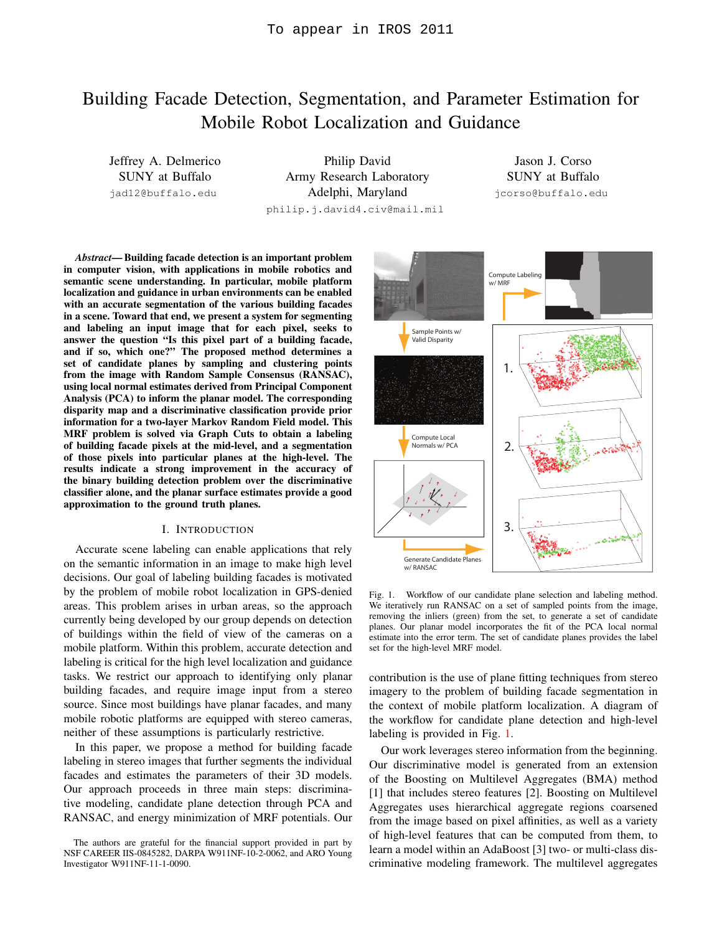# Building Facade Detection, Segmentation, and Parameter Estimation for Mobile Robot Localization and Guidance

Jeffrey A. Delmerico SUNY at Buffalo jad12@buffalo.edu

Philip David Army Research Laboratory Adelphi, Maryland philip.j.david4.civ@mail.mil

Jason J. Corso SUNY at Buffalo jcorso@buffalo.edu

*Abstract*— Building facade detection is an important problem in computer vision, with applications in mobile robotics and semantic scene understanding. In particular, mobile platform localization and guidance in urban environments can be enabled with an accurate segmentation of the various building facades in a scene. Toward that end, we present a system for segmenting and labeling an input image that for each pixel, seeks to answer the question "Is this pixel part of a building facade, and if so, which one?" The proposed method determines a set of candidate planes by sampling and clustering points from the image with Random Sample Consensus (RANSAC), using local normal estimates derived from Principal Component Analysis (PCA) to inform the planar model. The corresponding disparity map and a discriminative classification provide prior information for a two-layer Markov Random Field model. This MRF problem is solved via Graph Cuts to obtain a labeling of building facade pixels at the mid-level, and a segmentation of those pixels into particular planes at the high-level. The results indicate a strong improvement in the accuracy of the binary building detection problem over the discriminative classifier alone, and the planar surface estimates provide a good approximation to the ground truth planes.

## I. INTRODUCTION

Accurate scene labeling can enable applications that rely on the semantic information in an image to make high level decisions. Our goal of labeling building facades is motivated by the problem of mobile robot localization in GPS-denied areas. This problem arises in urban areas, so the approach currently being developed by our group depends on detection of buildings within the field of view of the cameras on a mobile platform. Within this problem, accurate detection and labeling is critical for the high level localization and guidance tasks. We restrict our approach to identifying only planar building facades, and require image input from a stereo source. Since most buildings have planar facades, and many mobile robotic platforms are equipped with stereo cameras, neither of these assumptions is particularly restrictive.

In this paper, we propose a method for building facade labeling in stereo images that further segments the individual facades and estimates the parameters of their 3D models. Our approach proceeds in three main steps: discriminative modeling, candidate plane detection through PCA and RANSAC, and energy minimization of MRF potentials. Our



Fig. 1. Workflow of our candidate plane selection and labeling method. We iteratively run RANSAC on a set of sampled points from the image, removing the inliers (green) from the set, to generate a set of candidate planes. Our planar model incorporates the fit of the PCA local normal estimate into the error term. The set of candidate planes provides the label set for the high-level MRF model.

contribution is the use of plane fitting techniques from stereo imagery to the problem of building facade segmentation in the context of mobile platform localization. A diagram of the workflow for candidate plane detection and high-level labeling is provided in Fig. 1.

Our work leverages stereo information from the beginning. Our discriminative model is generated from an extension of the Boosting on Multilevel Aggregates (BMA) method [1] that includes stereo features [2]. Boosting on Multilevel Aggregates uses hierarchical aggregate regions coarsened from the image based on pixel affinities, as well as a variety of high-level features that can be computed from them, to learn a model within an AdaBoost [3] two- or multi-class discriminative modeling framework. The multilevel aggregates

The authors are grateful for the financial support provided in part by NSF CAREER IIS-0845282, DARPA W911NF-10-2-0062, and ARO Young Investigator W911NF-11-1-0090.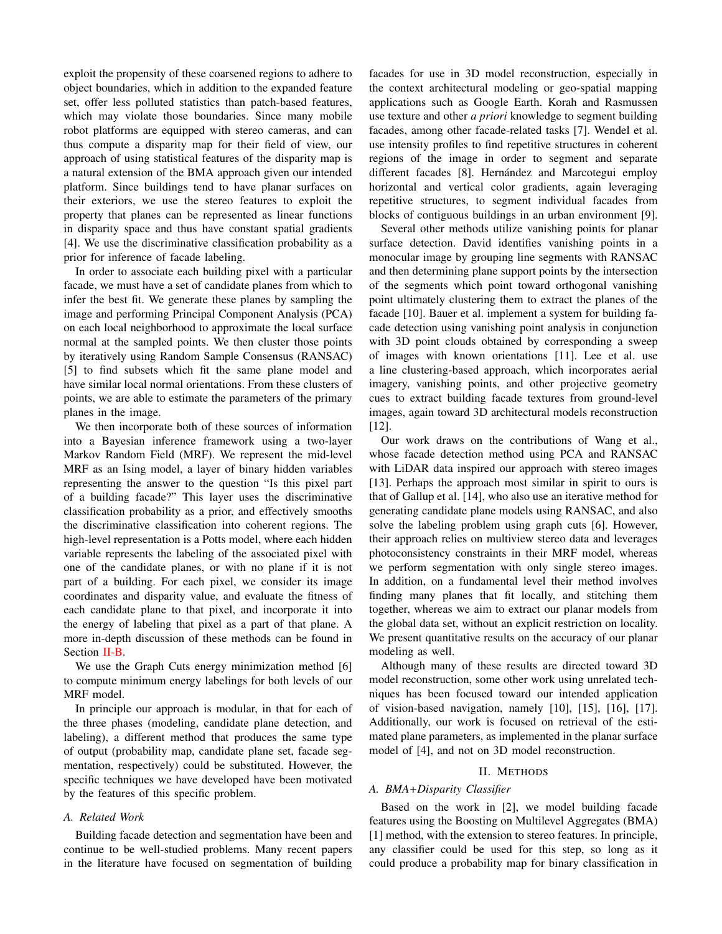exploit the propensity of these coarsened regions to adhere to object boundaries, which in addition to the expanded feature set, offer less polluted statistics than patch-based features, which may violate those boundaries. Since many mobile robot platforms are equipped with stereo cameras, and can thus compute a disparity map for their field of view, our approach of using statistical features of the disparity map is a natural extension of the BMA approach given our intended platform. Since buildings tend to have planar surfaces on their exteriors, we use the stereo features to exploit the property that planes can be represented as linear functions in disparity space and thus have constant spatial gradients [4]. We use the discriminative classification probability as a prior for inference of facade labeling.

In order to associate each building pixel with a particular facade, we must have a set of candidate planes from which to infer the best fit. We generate these planes by sampling the image and performing Principal Component Analysis (PCA) on each local neighborhood to approximate the local surface normal at the sampled points. We then cluster those points by iteratively using Random Sample Consensus (RANSAC) [5] to find subsets which fit the same plane model and have similar local normal orientations. From these clusters of points, we are able to estimate the parameters of the primary planes in the image.

We then incorporate both of these sources of information into a Bayesian inference framework using a two-layer Markov Random Field (MRF). We represent the mid-level MRF as an Ising model, a layer of binary hidden variables representing the answer to the question "Is this pixel part of a building facade?" This layer uses the discriminative classification probability as a prior, and effectively smooths the discriminative classification into coherent regions. The high-level representation is a Potts model, where each hidden variable represents the labeling of the associated pixel with one of the candidate planes, or with no plane if it is not part of a building. For each pixel, we consider its image coordinates and disparity value, and evaluate the fitness of each candidate plane to that pixel, and incorporate it into the energy of labeling that pixel as a part of that plane. A more in-depth discussion of these methods can be found in Section II-B.

We use the Graph Cuts energy minimization method [6] to compute minimum energy labelings for both levels of our MRF model.

In principle our approach is modular, in that for each of the three phases (modeling, candidate plane detection, and labeling), a different method that produces the same type of output (probability map, candidate plane set, facade segmentation, respectively) could be substituted. However, the specific techniques we have developed have been motivated by the features of this specific problem.

# *A. Related Work*

Building facade detection and segmentation have been and continue to be well-studied problems. Many recent papers in the literature have focused on segmentation of building facades for use in 3D model reconstruction, especially in the context architectural modeling or geo-spatial mapping applications such as Google Earth. Korah and Rasmussen use texture and other *a priori* knowledge to segment building facades, among other facade-related tasks [7]. Wendel et al. use intensity profiles to find repetitive structures in coherent regions of the image in order to segment and separate different facades [8]. Hernández and Marcotegui employ horizontal and vertical color gradients, again leveraging repetitive structures, to segment individual facades from blocks of contiguous buildings in an urban environment [9].

Several other methods utilize vanishing points for planar surface detection. David identifies vanishing points in a monocular image by grouping line segments with RANSAC and then determining plane support points by the intersection of the segments which point toward orthogonal vanishing point ultimately clustering them to extract the planes of the facade [10]. Bauer et al. implement a system for building facade detection using vanishing point analysis in conjunction with 3D point clouds obtained by corresponding a sweep of images with known orientations [11]. Lee et al. use a line clustering-based approach, which incorporates aerial imagery, vanishing points, and other projective geometry cues to extract building facade textures from ground-level images, again toward 3D architectural models reconstruction [12].

Our work draws on the contributions of Wang et al., whose facade detection method using PCA and RANSAC with LiDAR data inspired our approach with stereo images [13]. Perhaps the approach most similar in spirit to ours is that of Gallup et al. [14], who also use an iterative method for generating candidate plane models using RANSAC, and also solve the labeling problem using graph cuts [6]. However, their approach relies on multiview stereo data and leverages photoconsistency constraints in their MRF model, whereas we perform segmentation with only single stereo images. In addition, on a fundamental level their method involves finding many planes that fit locally, and stitching them together, whereas we aim to extract our planar models from the global data set, without an explicit restriction on locality. We present quantitative results on the accuracy of our planar modeling as well.

Although many of these results are directed toward 3D model reconstruction, some other work using unrelated techniques has been focused toward our intended application of vision-based navigation, namely [10], [15], [16], [17]. Additionally, our work is focused on retrieval of the estimated plane parameters, as implemented in the planar surface model of [4], and not on 3D model reconstruction.

## II. METHODS

# *A. BMA+Disparity Classifier*

Based on the work in [2], we model building facade features using the Boosting on Multilevel Aggregates (BMA) [1] method, with the extension to stereo features. In principle, any classifier could be used for this step, so long as it could produce a probability map for binary classification in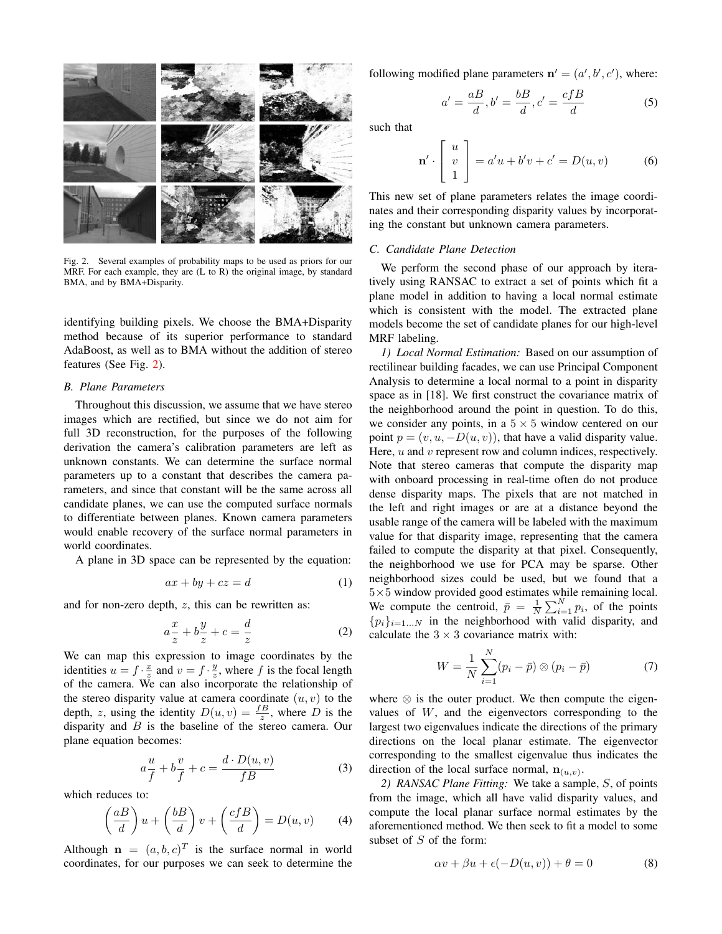

Fig. 2. Several examples of probability maps to be used as priors for our MRF. For each example, they are (L to R) the original image, by standard BMA, and by BMA+Disparity.

identifying building pixels. We choose the BMA+Disparity method because of its superior performance to standard AdaBoost, as well as to BMA without the addition of stereo features (See Fig. 2).

# *B. Plane Parameters*

Throughout this discussion, we assume that we have stereo images which are rectified, but since we do not aim for full 3D reconstruction, for the purposes of the following derivation the camera's calibration parameters are left as unknown constants. We can determine the surface normal parameters up to a constant that describes the camera parameters, and since that constant will be the same across all candidate planes, we can use the computed surface normals to differentiate between planes. Known camera parameters would enable recovery of the surface normal parameters in world coordinates.

A plane in 3D space can be represented by the equation:

$$
ax + by + cz = d \tag{1}
$$

and for non-zero depth, z, this can be rewritten as:

$$
a\frac{x}{z} + b\frac{y}{z} + c = \frac{d}{z}
$$
 (2)

We can map this expression to image coordinates by the identities  $u = f \cdot \frac{x}{z}$  and  $v = f \cdot \frac{y}{z}$ , where f is the focal length of the camera. We can also incorporate the relationship of the stereo disparity value at camera coordinate  $(u, v)$  to the depth, z, using the identity  $D(u, v) = \frac{f}{z}$ , where D is the disparity and  $B$  is the baseline of the stereo camera. Our plane equation becomes:

$$
a\frac{u}{f} + b\frac{v}{f} + c = \frac{d \cdot D(u, v)}{fB} \tag{3}
$$

which reduces to:

$$
\left(\frac{aB}{d}\right)u + \left(\frac{bB}{d}\right)v + \left(\frac{cfB}{d}\right) = D(u,v) \tag{4}
$$

Although  $\mathbf{n} = (a, b, c)^T$  is the surface normal in world coordinates, for our purposes we can seek to determine the following modified plane parameters  $\mathbf{n}' = (a', b', c')$ , where:

$$
a' = \frac{a}{d}a, b' = \frac{b}{d}, c' = \frac{cfB}{d}
$$
 (5)

such that

$$
\mathbf{n}' \cdot \begin{bmatrix} u \\ v \\ 1 \end{bmatrix} = a'u + b'v + c' = D(u, v) \tag{6}
$$

This new set of plane parameters relates the image coordinates and their corresponding disparity values by incorporating the constant but unknown camera parameters.

#### *C. Candidate Plane Detection*

We perform the second phase of our approach by iteratively using RANSAC to extract a set of points which fit a plane model in addition to having a local normal estimate which is consistent with the model. The extracted plane models become the set of candidate planes for our high-level MRF labeling.

*1) Local Normal Estimation:* Based on our assumption of rectilinear building facades, we can use Principal Component Analysis to determine a local normal to a point in disparity space as in [18]. We first construct the covariance matrix of the neighborhood around the point in question. To do this, we consider any points, in a  $5 \times 5$  window centered on our point  $p = (v, u, -D(u, v))$ , that have a valid disparity value. Here,  $u$  and  $v$  represent row and column indices, respectively. Note that stereo cameras that compute the disparity map with onboard processing in real-time often do not produce dense disparity maps. The pixels that are not matched in the left and right images or are at a distance beyond the usable range of the camera will be labeled with the maximum value for that disparity image, representing that the camera failed to compute the disparity at that pixel. Consequently, the neighborhood we use for PCA may be sparse. Other neighborhood sizes could be used, but we found that a 5×5 window provided good estimates while remaining local. We compute the centroid,  $\bar{p} = \frac{1}{N} \sum_{i=1}^{N} p_i$ , of the points  $\{p_i\}_{i=1...N}$  in the neighborhood with valid disparity, and calculate the  $3 \times 3$  covariance matrix with:

$$
W = \frac{1}{N} \sum_{i=1}^{N} (p_i - \bar{p}) \otimes (p_i - \bar{p})
$$
 (7)

where  $\otimes$  is the outer product. We then compute the eigenvalues of W, and the eigenvectors corresponding to the largest two eigenvalues indicate the directions of the primary directions on the local planar estimate. The eigenvector corresponding to the smallest eigenvalue thus indicates the direction of the local surface normal,  $n_{(u,v)}$ .

*2) RANSAC Plane Fitting:* We take a sample, S, of points from the image, which all have valid disparity values, and compute the local planar surface normal estimates by the aforementioned method. We then seek to fit a model to some subset of  $S$  of the form:

$$
\alpha v + \beta u + \epsilon(-D(u, v)) + \theta = 0 \tag{8}
$$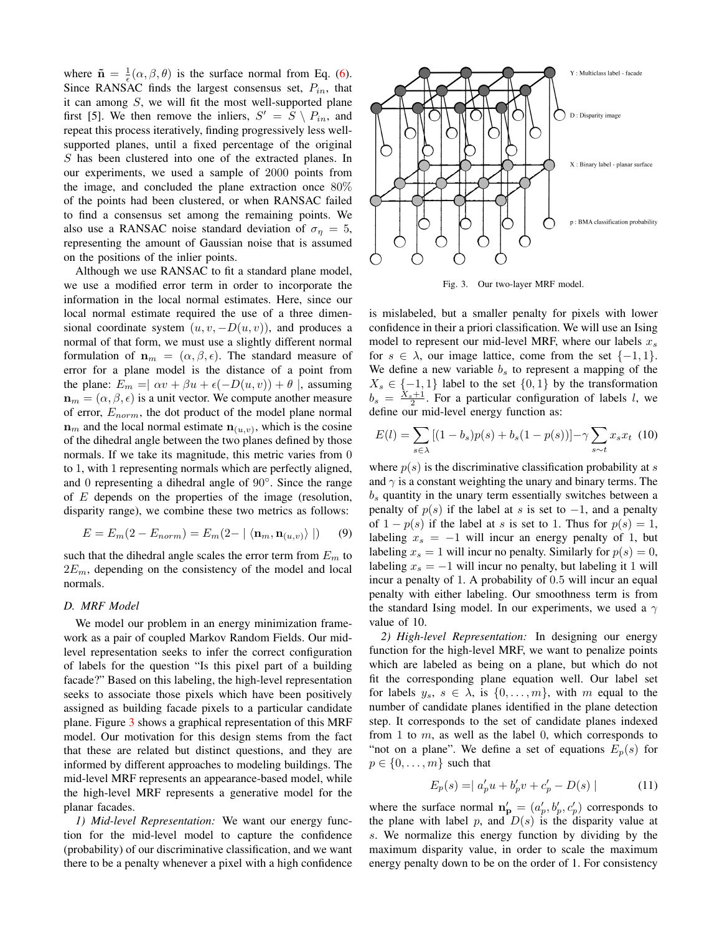where  $\tilde{\mathbf{n}} = \frac{1}{\epsilon}(\alpha, \beta, \theta)$  is the surface normal from Eq. (6). Since RANSAC finds the largest consensus set,  $P_{in}$ , that it can among S, we will fit the most well-supported plane first [5]. We then remove the inliers,  $S' = S \setminus P_{in}$ , and repeat this process iteratively, finding progressively less wellsupported planes, until a fixed percentage of the original S has been clustered into one of the extracted planes. In our experiments, we used a sample of 2000 points from the image, and concluded the plane extraction once 80% of the points had been clustered, or when RANSAC failed to find a consensus set among the remaining points. We also use a RANSAC noise standard deviation of  $\sigma_n = 5$ , representing the amount of Gaussian noise that is assumed on the positions of the inlier points.

Although we use RANSAC to fit a standard plane model, we use a modified error term in order to incorporate the information in the local normal estimates. Here, since our local normal estimate required the use of a three dimensional coordinate system  $(u, v, -D(u, v))$ , and produces a normal of that form, we must use a slightly different normal formulation of  $\mathbf{n}_m = (\alpha, \beta, \epsilon)$ . The standard measure of error for a plane model is the distance of a point from the plane:  $E_m = |\alpha v + \beta u + \epsilon(-D(u, v)) + \theta |$ , assuming  **is a unit vector. We compute another measure** of error,  $E_{norm}$ , the dot product of the model plane normal  $n_m$  and the local normal estimate  $n_{(u,v)}$ , which is the cosine of the dihedral angle between the two planes defined by those normals. If we take its magnitude, this metric varies from 0 to 1, with 1 representing normals which are perfectly aligned, and 0 representing a dihedral angle of 90°. Since the range of  $E$  depends on the properties of the image (resolution, disparity range), we combine these two metrics as follows:

$$
E = E_m(2 - E_{norm}) = E_m(2 - |\langle \mathbf{n}_m, \mathbf{n}_{(u,v)} \rangle|) \tag{9}
$$

such that the dihedral angle scales the error term from  $E_m$  to  $2E_m$ , depending on the consistency of the model and local normals.

## *D. MRF Model*

We model our problem in an energy minimization framework as a pair of coupled Markov Random Fields. Our midlevel representation seeks to infer the correct configuration of labels for the question "Is this pixel part of a building facade?" Based on this labeling, the high-level representation seeks to associate those pixels which have been positively assigned as building facade pixels to a particular candidate plane. Figure 3 shows a graphical representation of this MRF model. Our motivation for this design stems from the fact that these are related but distinct questions, and they are informed by different approaches to modeling buildings. The mid-level MRF represents an appearance-based model, while the high-level MRF represents a generative model for the planar facades.

*1) Mid-level Representation:* We want our energy function for the mid-level model to capture the confidence (probability) of our discriminative classification, and we want there to be a penalty whenever a pixel with a high confidence



Fig. 3. Our two-layer MRF model.

is mislabeled, but a smaller penalty for pixels with lower confidence in their a priori classification. We will use an Ising model to represent our mid-level MRF, where our labels  $x_s$ for  $s \in \lambda$ , our image lattice, come from the set  $\{-1, 1\}$ . We define a new variable  $b<sub>s</sub>$  to represent a mapping of the  $X_s \in \{-1, 1\}$  label to the set  $\{0, 1\}$  by the transformation  $b_s = \frac{X_s+1}{2}$ . For a particular configuration of labels l, we define our mid-level energy function as:

$$
E(l) = \sum_{s \in \lambda} [(1 - b_s)p(s) + b_s(1 - p(s))] - \gamma \sum_{s \sim t} x_s x_t \tag{10}
$$

where  $p(s)$  is the discriminative classification probability at s and  $\gamma$  is a constant weighting the unary and binary terms. The  $b<sub>s</sub>$  quantity in the unary term essentially switches between a penalty of  $p(s)$  if the label at s is set to  $-1$ , and a penalty of  $1 - p(s)$  if the label at s is set to 1. Thus for  $p(s) = 1$ , labeling  $x_s = -1$  will incur an energy penalty of 1, but labeling  $x_s = 1$  will incur no penalty. Similarly for  $p(s) = 0$ , labeling  $x_s = -1$  will incur no penalty, but labeling it 1 will incur a penalty of 1. A probability of 0.5 will incur an equal penalty with either labeling. Our smoothness term is from the standard Ising model. In our experiments, we used a  $\gamma$ value of 10.

*2) High-level Representation:* In designing our energy function for the high-level MRF, we want to penalize points which are labeled as being on a plane, but which do not fit the corresponding plane equation well. Our label set for labels  $y_s, s \in \lambda$ , is  $\{0, \ldots, m\}$ , with m equal to the number of candidate planes identified in the plane detection step. It corresponds to the set of candidate planes indexed from 1 to  $m$ , as well as the label 0, which corresponds to "not on a plane". We define a set of equations  $E_p(s)$  for  $p \in \{0, \ldots, m\}$  such that

$$
E_p(s) = |a'_p u + b'_p v + c'_p - D(s)| \tag{11}
$$

where the surface normal  $n'_{p} = (a'_{p}, b'_{p}, c'_{p})$  corresponds to the plane with label  $p$ , and  $D(s)$  is the disparity value at s. We normalize this energy function by dividing by the maximum disparity value, in order to scale the maximum energy penalty down to be on the order of 1. For consistency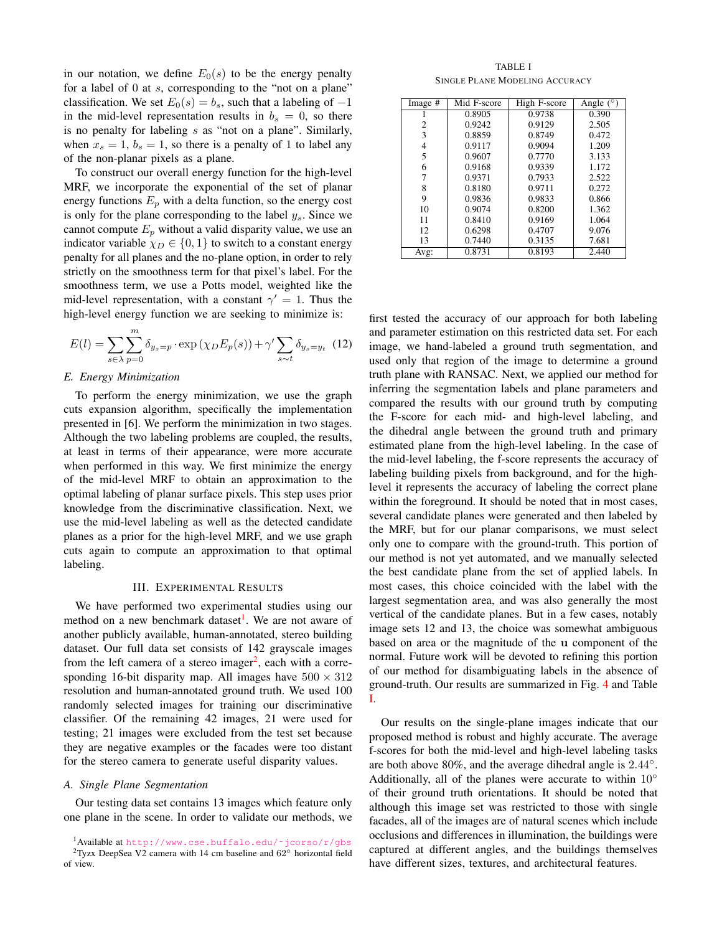in our notation, we define  $E_0(s)$  to be the energy penalty for a label of 0 at s, corresponding to the "not on a plane" classification. We set  $E_0(s) = b_s$ , such that a labeling of  $-1$ in the mid-level representation results in  $b_s = 0$ , so there is no penalty for labeling s as "not on a plane". Similarly, when  $x_s = 1$ ,  $b_s = 1$ , so there is a penalty of 1 to label any of the non-planar pixels as a plane.

To construct our overall energy function for the high-level MRF, we incorporate the exponential of the set of planar energy functions  $E_p$  with a delta function, so the energy cost is only for the plane corresponding to the label  $y_s$ . Since we cannot compute  $E_p$  without a valid disparity value, we use an indicator variable  $\chi_D \in \{0, 1\}$  to switch to a constant energy penalty for all planes and the no-plane option, in order to rely strictly on the smoothness term for that pixel's label. For the smoothness term, we use a Potts model, weighted like the mid-level representation, with a constant  $\gamma' = 1$ . Thus the high-level energy function we are seeking to minimize is:

$$
E(l) = \sum_{s \in \lambda} \sum_{p=0}^{m} \delta_{y_s = p} \cdot \exp\left(\chi_D E_p(s)\right) + \gamma' \sum_{s \sim t} \delta_{y_s = y_t} \tag{12}
$$

#### *E. Energy Minimization*

To perform the energy minimization, we use the graph cuts expansion algorithm, specifically the implementation presented in [6]. We perform the minimization in two stages. Although the two labeling problems are coupled, the results, at least in terms of their appearance, were more accurate when performed in this way. We first minimize the energy of the mid-level MRF to obtain an approximation to the optimal labeling of planar surface pixels. This step uses prior knowledge from the discriminative classification. Next, we use the mid-level labeling as well as the detected candidate planes as a prior for the high-level MRF, and we use graph cuts again to compute an approximation to that optimal labeling.

#### III. EXPERIMENTAL RESULTS

We have performed two experimental studies using our method on a new benchmark dataset<sup>1</sup>. We are not aware of another publicly available, human-annotated, stereo building dataset. Our full data set consists of 142 grayscale images from the left camera of a stereo imager<sup>2</sup>, each with a corresponding 16-bit disparity map. All images have  $500 \times 312$ resolution and human-annotated ground truth. We used 100 randomly selected images for training our discriminative classifier. Of the remaining 42 images, 21 were used for testing; 21 images were excluded from the test set because they are negative examples or the facades were too distant for the stereo camera to generate useful disparity values.

#### *A. Single Plane Segmentation*

Our testing data set contains 13 images which feature only one plane in the scene. In order to validate our methods, we

TABLE I SINGLE PLANE MODELING ACCURACY

| Image # | Mid F-score | High F-score | Angle $(°)$ |
|---------|-------------|--------------|-------------|
|         |             |              |             |
|         | 0.8905      | 0.9738       | 0.390       |
| 2       | 0.9242      | 0.9129       | 2.505       |
| 3       | 0.8859      | 0.8749       | 0.472       |
| 4       | 0.9117      | 0.9094       | 1.209       |
| 5       | 0.9607      | 0.7770       | 3.133       |
| 6       | 0.9168      | 0.9339       | 1.172       |
| 7       | 0.9371      | 0.7933       | 2.522       |
| 8       | 0.8180      | 0.9711       | 0.272       |
| 9       | 0.9836      | 0.9833       | 0.866       |
| 10      | 0.9074      | 0.8200       | 1.362       |
| 11      | 0.8410      | 0.9169       | 1.064       |
| 12      | 0.6298      | 0.4707       | 9.076       |
| 13      | 0.7440      | 0.3135       | 7.681       |
| Avg:    | 0.8731      | 0.8193       | 2.440       |

first tested the accuracy of our approach for both labeling and parameter estimation on this restricted data set. For each image, we hand-labeled a ground truth segmentation, and used only that region of the image to determine a ground truth plane with RANSAC. Next, we applied our method for inferring the segmentation labels and plane parameters and compared the results with our ground truth by computing the F-score for each mid- and high-level labeling, and the dihedral angle between the ground truth and primary estimated plane from the high-level labeling. In the case of the mid-level labeling, the f-score represents the accuracy of labeling building pixels from background, and for the highlevel it represents the accuracy of labeling the correct plane within the foreground. It should be noted that in most cases, several candidate planes were generated and then labeled by the MRF, but for our planar comparisons, we must select only one to compare with the ground-truth. This portion of our method is not yet automated, and we manually selected the best candidate plane from the set of applied labels. In most cases, this choice coincided with the label with the largest segmentation area, and was also generally the most vertical of the candidate planes. But in a few cases, notably image sets 12 and 13, the choice was somewhat ambiguous based on area or the magnitude of the u component of the normal. Future work will be devoted to refining this portion of our method for disambiguating labels in the absence of ground-truth. Our results are summarized in Fig. 4 and Table I.

Our results on the single-plane images indicate that our proposed method is robust and highly accurate. The average f-scores for both the mid-level and high-level labeling tasks are both above 80%, and the average dihedral angle is  $2.44^{\circ}$ . Additionally, all of the planes were accurate to within  $10^{\circ}$ of their ground truth orientations. It should be noted that although this image set was restricted to those with single facades, all of the images are of natural scenes which include occlusions and differences in illumination, the buildings were captured at different angles, and the buildings themselves have different sizes, textures, and architectural features.

<sup>1</sup>Available at http://www.cse.buffalo.edu/˜jcorso/r/gbs

<sup>&</sup>lt;sup>2</sup>Tyzx DeepSea V2 camera with 14 cm baseline and  $62°$  horizontal field of view.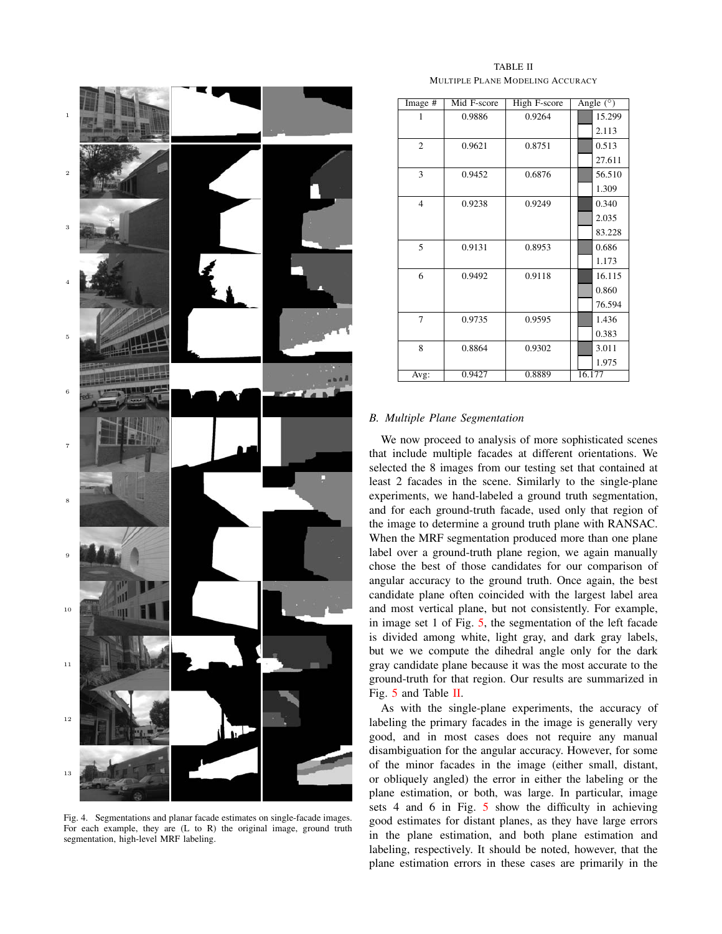

Fig. 4. Segmentations and planar facade estimates on single-facade images. For each example, they are (L to R) the original image, ground truth segmentation, high-level MRF labeling.

| TABLE II                         |
|----------------------------------|
| Multiple Plane Modeling Accuracy |

| Image #        | Mid F-score | <b>High F-score</b> | Angle $(°)$ |
|----------------|-------------|---------------------|-------------|
| 1              | 0.9886      | 0.9264              | 15.299      |
|                |             |                     | 2.113       |
| $\overline{2}$ | 0.9621      | 0.8751              | 0.513       |
|                |             |                     | 27.611      |
| 3              | 0.9452      | 0.6876              | 56.510      |
|                |             |                     | 1.309       |
| $\overline{4}$ | 0.9238      | 0.9249              | 0.340       |
|                |             |                     | 2.035       |
|                |             |                     | 83.228      |
| 5              | 0.9131      | 0.8953              | 0.686       |
|                |             |                     | 1.173       |
| 6              | 0.9492      | 0.9118              | 16.115      |
|                |             |                     | 0.860       |
|                |             |                     | 76.594      |
| 7              | 0.9735      | 0.9595              | 1.436       |
|                |             |                     | 0.383       |
| 8              | 0.8864      | 0.9302              | 3.011       |
|                |             |                     | 1.975       |
| Avg:           | 0.9427      | 0.8889              | 16.177      |

#### *B. Multiple Plane Segmentation*

We now proceed to analysis of more sophisticated scenes that include multiple facades at different orientations. We selected the 8 images from our testing set that contained at least 2 facades in the scene. Similarly to the single-plane experiments, we hand-labeled a ground truth segmentation, and for each ground-truth facade, used only that region of the image to determine a ground truth plane with RANSAC. When the MRF segmentation produced more than one plane label over a ground-truth plane region, we again manually chose the best of those candidates for our comparison of angular accuracy to the ground truth. Once again, the best candidate plane often coincided with the largest label area and most vertical plane, but not consistently. For example, in image set 1 of Fig. 5, the segmentation of the left facade is divided among white, light gray, and dark gray labels, but we we compute the dihedral angle only for the dark gray candidate plane because it was the most accurate to the ground-truth for that region. Our results are summarized in Fig. 5 and Table II.

As with the single-plane experiments, the accuracy of labeling the primary facades in the image is generally very good, and in most cases does not require any manual disambiguation for the angular accuracy. However, for some of the minor facades in the image (either small, distant, or obliquely angled) the error in either the labeling or the plane estimation, or both, was large. In particular, image sets 4 and 6 in Fig. 5 show the difficulty in achieving good estimates for distant planes, as they have large errors in the plane estimation, and both plane estimation and labeling, respectively. It should be noted, however, that the plane estimation errors in these cases are primarily in the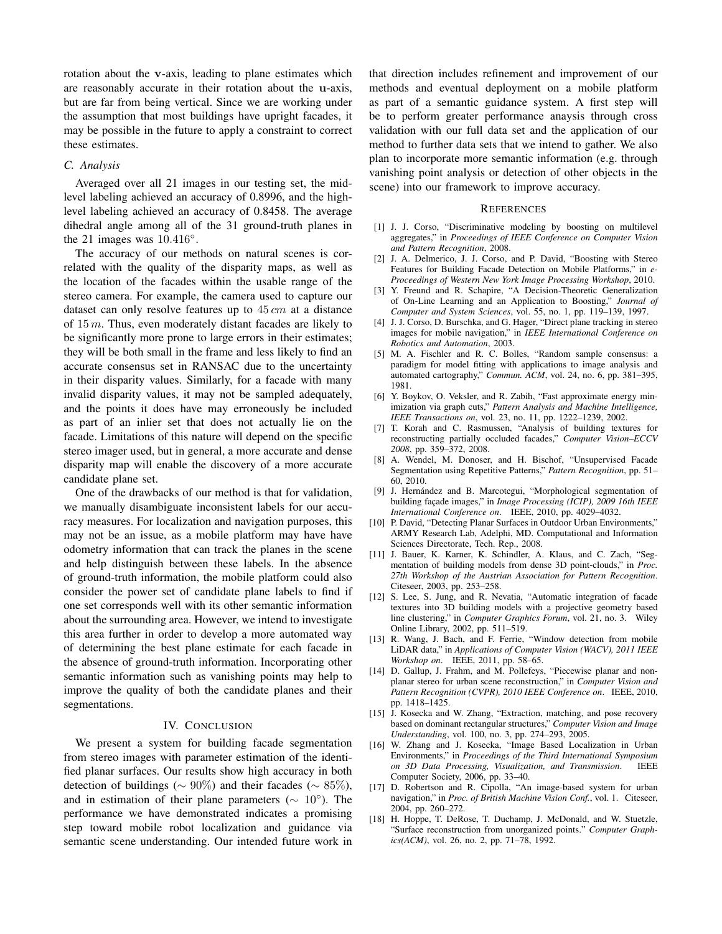rotation about the v-axis, leading to plane estimates which are reasonably accurate in their rotation about the u-axis, but are far from being vertical. Since we are working under the assumption that most buildings have upright facades, it may be possible in the future to apply a constraint to correct these estimates.

## *C. Analysis*

Averaged over all 21 images in our testing set, the midlevel labeling achieved an accuracy of 0.8996, and the highlevel labeling achieved an accuracy of 0.8458. The average dihedral angle among all of the 31 ground-truth planes in the 21 images was  $10.416°$ .

The accuracy of our methods on natural scenes is correlated with the quality of the disparity maps, as well as the location of the facades within the usable range of the stereo camera. For example, the camera used to capture our dataset can only resolve features up to  $45 \, \text{cm}$  at a distance of  $15 m$ . Thus, even moderately distant facades are likely to be significantly more prone to large errors in their estimates; they will be both small in the frame and less likely to find an accurate consensus set in RANSAC due to the uncertainty in their disparity values. Similarly, for a facade with many invalid disparity values, it may not be sampled adequately, and the points it does have may erroneously be included as part of an inlier set that does not actually lie on the facade. Limitations of this nature will depend on the specific stereo imager used, but in general, a more accurate and dense disparity map will enable the discovery of a more accurate candidate plane set.

One of the drawbacks of our method is that for validation, we manually disambiguate inconsistent labels for our accuracy measures. For localization and navigation purposes, this may not be an issue, as a mobile platform may have have odometry information that can track the planes in the scene and help distinguish between these labels. In the absence of ground-truth information, the mobile platform could also consider the power set of candidate plane labels to find if one set corresponds well with its other semantic information about the surrounding area. However, we intend to investigate this area further in order to develop a more automated way of determining the best plane estimate for each facade in the absence of ground-truth information. Incorporating other semantic information such as vanishing points may help to improve the quality of both the candidate planes and their segmentations.

#### IV. CONCLUSION

We present a system for building facade segmentation from stereo images with parameter estimation of the identified planar surfaces. Our results show high accuracy in both detection of buildings ( $\sim 90\%$ ) and their facades ( $\sim 85\%$ ), and in estimation of their plane parameters ( $\sim 10^{\circ}$ ). The performance we have demonstrated indicates a promising step toward mobile robot localization and guidance via semantic scene understanding. Our intended future work in that direction includes refinement and improvement of our methods and eventual deployment on a mobile platform as part of a semantic guidance system. A first step will be to perform greater performance anaysis through cross validation with our full data set and the application of our method to further data sets that we intend to gather. We also plan to incorporate more semantic information (e.g. through vanishing point analysis or detection of other objects in the scene) into our framework to improve accuracy.

#### **REFERENCES**

- [1] J. J. Corso, "Discriminative modeling by boosting on multilevel aggregates," in *Proceedings of IEEE Conference on Computer Vision and Pattern Recognition*, 2008.
- [2] J. A. Delmerico, J. J. Corso, and P. David, "Boosting with Stereo Features for Building Facade Detection on Mobile Platforms," in *e-Proceedings of Western New York Image Processing Workshop*, 2010.
- [3] Y. Freund and R. Schapire, "A Decision-Theoretic Generalization of On-Line Learning and an Application to Boosting," *Journal of Computer and System Sciences*, vol. 55, no. 1, pp. 119–139, 1997.
- [4] J. J. Corso, D. Burschka, and G. Hager, "Direct plane tracking in stereo images for mobile navigation," in *IEEE International Conference on Robotics and Automation*, 2003.
- [5] M. A. Fischler and R. C. Bolles, "Random sample consensus: a paradigm for model fitting with applications to image analysis and automated cartography," *Commun. ACM*, vol. 24, no. 6, pp. 381–395, 1981.
- [6] Y. Boykov, O. Veksler, and R. Zabih, "Fast approximate energy minimization via graph cuts," *Pattern Analysis and Machine Intelligence, IEEE Transactions on*, vol. 23, no. 11, pp. 1222–1239, 2002.
- [7] T. Korah and C. Rasmussen, "Analysis of building textures for reconstructing partially occluded facades," *Computer Vision–ECCV 2008*, pp. 359–372, 2008.
- [8] A. Wendel, M. Donoser, and H. Bischof, "Unsupervised Facade Segmentation using Repetitive Patterns," *Pattern Recognition*, pp. 51– 60, 2010.
- [9] J. Hernández and B. Marcotegui, "Morphological segmentation of building façade images," in *Image Processing (ICIP), 2009 16th IEEE International Conference on*. IEEE, 2010, pp. 4029–4032.
- [10] P. David, "Detecting Planar Surfaces in Outdoor Urban Environments," ARMY Research Lab, Adelphi, MD. Computational and Information Sciences Directorate, Tech. Rep., 2008.
- [11] J. Bauer, K. Karner, K. Schindler, A. Klaus, and C. Zach, "Segmentation of building models from dense 3D point-clouds," in *Proc. 27th Workshop of the Austrian Association for Pattern Recognition*. Citeseer, 2003, pp. 253–258.
- [12] S. Lee, S. Jung, and R. Nevatia, "Automatic integration of facade textures into 3D building models with a projective geometry based line clustering," in *Computer Graphics Forum*, vol. 21, no. 3. Wiley Online Library, 2002, pp. 511–519.
- [13] R. Wang, J. Bach, and F. Ferrie, "Window detection from mobile LiDAR data," in *Applications of Computer Vision (WACV), 2011 IEEE Workshop on*. IEEE, 2011, pp. 58–65.
- [14] D. Gallup, J. Frahm, and M. Pollefeys, "Piecewise planar and nonplanar stereo for urban scene reconstruction," in *Computer Vision and Pattern Recognition (CVPR), 2010 IEEE Conference on*. IEEE, 2010, pp. 1418–1425.
- [15] J. Kosecka and W. Zhang, "Extraction, matching, and pose recovery based on dominant rectangular structures," *Computer Vision and Image Understanding*, vol. 100, no. 3, pp. 274–293, 2005.
- [16] W. Zhang and J. Kosecka, "Image Based Localization in Urban Environments," in *Proceedings of the Third International Symposium on 3D Data Processing, Visualization, and Transmission*. IEEE Computer Society, 2006, pp. 33–40.
- [17] D. Robertson and R. Cipolla, "An image-based system for urban navigation," in *Proc. of British Machine Vision Conf.*, vol. 1. Citeseer, 2004, pp. 260–272.
- [18] H. Hoppe, T. DeRose, T. Duchamp, J. McDonald, and W. Stuetzle, "Surface reconstruction from unorganized points." *Computer Graphics(ACM)*, vol. 26, no. 2, pp. 71–78, 1992.